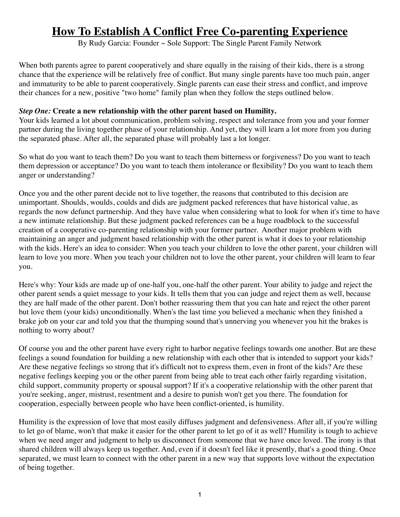# **How To Establish A Conflict Free Co-parenting Experience**

By Rudy Garcia: Founder  $\sim$  Sole Support: The Single Parent Family Network

When both parents agree to parent cooperatively and share equally in the raising of their kids, there is a strong chance that the experience will be relatively free of conflict. But many single parents have too much pain, anger and immaturity to be able to parent cooperatively. Single parents can ease their stress and conflict, and improve their chances for a new, positive "two home" family plan when they follow the steps outlined below.

#### *Step One:* **Create a new relationship with the other parent based on Humility.**

Your kids learned a lot about communication, problem solving, respect and tolerance from you and your former partner during the living together phase of your relationship. And yet, they will learn a lot more from you during the separated phase. After all, the separated phase will probably last a lot longer.

So what do you want to teach them? Do you want to teach them bitterness or forgiveness? Do you want to teach them depression or acceptance? Do you want to teach them intolerance or flexibility? Do you want to teach them anger or understanding?

Once you and the other parent decide not to live together, the reasons that contributed to this decision are unimportant. Shoulds, woulds, coulds and dids are judgment packed references that have historical value, as regards the now defunct partnership. And they have value when considering what to look for when it's time to have a new intimate relationship. But these judgment packed references can be a huge roadblock to the successful creation of a cooperative co-parenting relationship with your former partner. Another major problem with maintaining an anger and judgment based relationship with the other parent is what it does to your relationship with the kids. Here's an idea to consider: When you teach your children to love the other parent, your children will learn to love you more. When you teach your children not to love the other parent, your children will learn to fear you.

Here's why: Your kids are made up of one-half you, one-half the other parent. Your ability to judge and reject the other parent sends a quiet message to your kids. It tells them that you can judge and reject them as well, because they are half made of the other parent. Don't bother reassuring them that you can hate and reject the other parent but love them (your kids) unconditionally. When's the last time you believed a mechanic when they finished a brake job on your car and told you that the thumping sound that's unnerving you whenever you hit the brakes is nothing to worry about?

Of course you and the other parent have every right to harbor negative feelings towards one another. But are these feelings a sound foundation for building a new relationship with each other that is intended to support your kids? Are these negative feelings so strong that it's difficult not to express them, even in front of the kids? Are these negative feelings keeping you or the other parent from being able to treat each other fairly regarding visitation, child support, community property or spousal support? If it's a cooperative relationship with the other parent that you're seeking, anger, mistrust, resentment and a desire to punish won't get you there. The foundation for cooperation, especially between people who have been conflict-oriented, is humility.

Humility is the expression of love that most easily diffuses judgment and defensiveness. After all, if you're willing to let go of blame, won't that make it easier for the other parent to let go of it as well? Humility is tough to achieve when we need anger and judgment to help us disconnect from someone that we have once loved. The irony is that shared children will always keep us together. And, even if it doesn't feel like it presently, that's a good thing. Once separated, we must learn to connect with the other parent in a new way that supports love without the expectation of being together.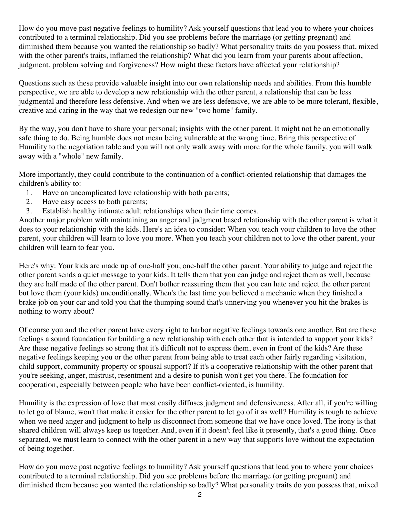How do you move past negative feelings to humility? Ask yourself questions that lead you to where your choices contributed to a terminal relationship. Did you see problems before the marriage (or getting pregnant) and diminished them because you wanted the relationship so badly? What personality traits do you possess that, mixed with the other parent's traits, inflamed the relationship? What did you learn from your parents about affection, judgment, problem solving and forgiveness? How might these factors have affected your relationship?

Questions such as these provide valuable insight into our own relationship needs and abilities. From this humble perspective, we are able to develop a new relationship with the other parent, a relationship that can be less judgmental and therefore less defensive. And when we are less defensive, we are able to be more tolerant, flexible, creative and caring in the way that we redesign our new "two home" family.

By the way, you don't have to share your personal; insights with the other parent. It might not be an emotionally safe thing to do. Being humble does not mean being vulnerable at the wrong time. Bring this perspective of Humility to the negotiation table and you will not only walk away with more for the whole family, you will walk away with a "whole" new family.

More importantly, they could contribute to the continuation of a conflict-oriented relationship that damages the children's ability to:

- 1. Have an uncomplicated love relationship with both parents;
- 2. Have easy access to both parents;
- 3. Establish healthy intimate adult relationships when their time comes.

Another major problem with maintaining an anger and judgment based relationship with the other parent is what it does to your relationship with the kids. Here's an idea to consider: When you teach your children to love the other parent, your children will learn to love you more. When you teach your children not to love the other parent, your children will learn to fear you.

Here's why: Your kids are made up of one-half you, one-half the other parent. Your ability to judge and reject the other parent sends a quiet message to your kids. It tells them that you can judge and reject them as well, because they are half made of the other parent. Don't bother reassuring them that you can hate and reject the other parent but love them (your kids) unconditionally. When's the last time you believed a mechanic when they finished a brake job on your car and told you that the thumping sound that's unnerving you whenever you hit the brakes is nothing to worry about?

Of course you and the other parent have every right to harbor negative feelings towards one another. But are these feelings a sound foundation for building a new relationship with each other that is intended to support your kids? Are these negative feelings so strong that it's difficult not to express them, even in front of the kids? Are these negative feelings keeping you or the other parent from being able to treat each other fairly regarding visitation, child support, community property or spousal support? If it's a cooperative relationship with the other parent that you're seeking, anger, mistrust, resentment and a desire to punish won't get you there. The foundation for cooperation, especially between people who have been conflict-oriented, is humility.

Humility is the expression of love that most easily diffuses judgment and defensiveness. After all, if you're willing to let go of blame, won't that make it easier for the other parent to let go of it as well? Humility is tough to achieve when we need anger and judgment to help us disconnect from someone that we have once loved. The irony is that shared children will always keep us together. And, even if it doesn't feel like it presently, that's a good thing. Once separated, we must learn to connect with the other parent in a new way that supports love without the expectation of being together.

How do you move past negative feelings to humility? Ask yourself questions that lead you to where your choices contributed to a terminal relationship. Did you see problems before the marriage (or getting pregnant) and diminished them because you wanted the relationship so badly? What personality traits do you possess that, mixed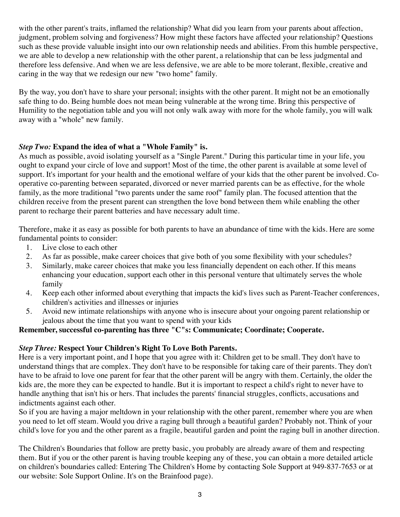with the other parent's traits, inflamed the relationship? What did you learn from your parents about affection, judgment, problem solving and forgiveness? How might these factors have affected your relationship? Questions such as these provide valuable insight into our own relationship needs and abilities. From this humble perspective, we are able to develop a new relationship with the other parent, a relationship that can be less judgmental and therefore less defensive. And when we are less defensive, we are able to be more tolerant, flexible, creative and caring in the way that we redesign our new "two home" family.

By the way, you don't have to share your personal; insights with the other parent. It might not be an emotionally safe thing to do. Being humble does not mean being vulnerable at the wrong time. Bring this perspective of Humility to the negotiation table and you will not only walk away with more for the whole family, you will walk away with a "whole" new family.

### *Step Two:* **Expand the idea of what a "Whole Family" is.**

As much as possible, avoid isolating yourself as a "Single Parent." During this particular time in your life, you ought to expand your circle of love and support! Most of the time, the other parent is available at some level of support. It's important for your health and the emotional welfare of your kids that the other parent be involved. Cooperative co-parenting between separated, divorced or never married parents can be as effective, for the whole family, as the more traditional "two parents under the same roof" family plan. The focused attention that the children receive from the present parent can strengthen the love bond between them while enabling the other parent to recharge their parent batteries and have necessary adult time.

Therefore, make it as easy as possible for both parents to have an abundance of time with the kids. Here are some fundamental points to consider:

- 1. Live close to each other
- 2. As far as possible, make career choices that give both of you some flexibility with your schedules?
- 3. Similarly, make career choices that make you less financially dependent on each other. If this means enhancing your education, support each other in this personal venture that ultimately serves the whole family
- 4. Keep each other informed about everything that impacts the kid's lives such as Parent-Teacher conferences, children's activities and illnesses or injuries
- 5. Avoid new intimate relationships with anyone who is insecure about your ongoing parent relationship or jealous about the time that you want to spend with your kids

#### **Remember, successful co-parenting has three "C"s: Communicate; Coordinate; Cooperate.**

#### *Step Three:* **Respect Your Children's Right To Love Both Parents.**

Here is a very important point, and I hope that you agree with it: Children get to be small. They don't have to understand things that are complex. They don't have to be responsible for taking care of their parents. They don't have to be afraid to love one parent for fear that the other parent will be angry with them. Certainly, the older the kids are, the more they can be expected to handle. But it is important to respect a child's right to never have to handle anything that isn't his or hers. That includes the parents' financial struggles, conflicts, accusations and indictments against each other.

So if you are having a major meltdown in your relationship with the other parent, remember where you are when you need to let off steam. Would you drive a raging bull through a beautiful garden? Probably not. Think of your child's love for you and the other parent as a fragile, beautiful garden and point the raging bull in another direction.

The Children's Boundaries that follow are pretty basic, you probably are already aware of them and respecting them. But if you or the other parent is having trouble keeping any of these, you can obtain a more detailed article on children's boundaries called: Entering The Children's Home by contacting Sole Support at 949-837-7653 or at our website: Sole Support Online. It's on the Brainfood page).